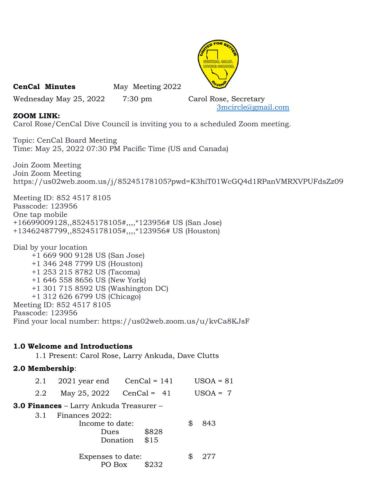

CenCal Minutes May Meeting 2022

Wednesday May 25, 2022 7:30 pm Carol Rose, Secretary

3mcircle@gmail.com

# ZOOM LINK:

Carol Rose/CenCal Dive Council is inviting you to a scheduled Zoom meeting.

Topic: CenCal Board Meeting Time: May 25, 2022 07:30 PM Pacific Time (US and Canada)

Join Zoom Meeting Join Zoom Meeting https://us02web.zoom.us/j/85245178105?pwd=K3hiT01WcGQ4d1RPanVMRXVPUFdsZz09

Meeting ID: 852 4517 8105 Passcode: 123956 One tap mobile +16699009128,,85245178105#,,,,\*123956# US (San Jose) +13462487799,,85245178105#,,,,\*123956# US (Houston)

Dial by your location +1 669 900 9128 US (San Jose) +1 346 248 7799 US (Houston) +1 253 215 8782 US (Tacoma) +1 646 558 8656 US (New York) +1 301 715 8592 US (Washington DC) +1 312 626 6799 US (Chicago) Meeting ID: 852 4517 8105 Passcode: 123956 Find your local number: https://us02web.zoom.us/u/kvCa8KJsF

# 1.0 Welcome and Introductions

1.1 Present: Carol Rose, Larry Ankuda, Dave Clutts

# 2.0 Membership:

| 2.1                                            | $2021$ year end CenCal = 141              |                           |    | $USOA = 81$ |  |
|------------------------------------------------|-------------------------------------------|---------------------------|----|-------------|--|
| 2.2                                            | May 25, 2022 $CenCal = 41$                |                           |    | $USOA = 7$  |  |
| <b>3.0 Finances –</b> Larry Ankuda Treasurer – |                                           |                           |    |             |  |
| 3.1                                            | Finances 2022:<br>Income to date:<br>Dues | \$828<br>\$15<br>Donation | \$ | 843         |  |
|                                                | Expenses to date:                         | \$232<br>PO Box           | \$ | 277         |  |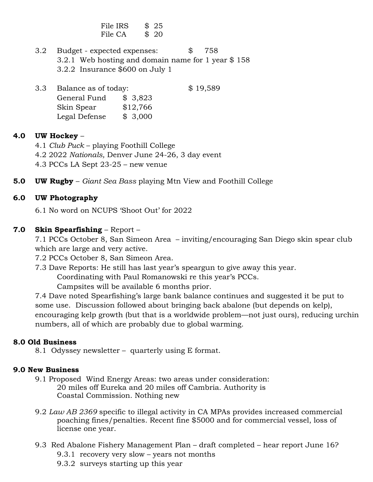File IRS \$25 File CA \$ 20

 3.2 Budget - expected expenses: \$ 758 3.2.1 Web hosting and domain name for 1 year \$ 158 3.2.2 Insurance \$600 on July 1

3.3 Balance as of today: \$19,589 General Fund \$ 3,823 Skin Spear \$12,766 Legal Defense \$ 3,000

### 4.0 UW Hockey –

- 4.1 Club Puck playing Foothill College
- 4.2 2022 Nationals, Denver June 24-26, 3 day event
- 4.3 PCCs LA Sept 23-25 new venue
- **5.0 UW Rugby** Giant Sea Bass playing Mtn View and Foothill College

#### 6.0 UW Photography

6.1 No word on NCUPS 'Shoot Out' for 2022

#### 7.0 Skin Spearfishing – Report –

 7.1 PCCs October 8, San Simeon Area – inviting/encouraging San Diego skin spear club which are large and very active.

7.2 PCCs October 8, San Simeon Area.

7.3 Dave Reports: He still has last year's speargun to give away this year.

Coordinating with Paul Romanowski re this year's PCCs.

Campsites will be available 6 months prior.

7.4 Dave noted Spearfishing's large bank balance continues and suggested it be put to some use. Discussion followed about bringing back abalone (but depends on kelp), encouraging kelp growth (but that is a worldwide problem—not just ours), reducing urchin numbers, all of which are probably due to global warming.

#### 8.0 Old Business

8.1 Odyssey newsletter – quarterly using E format.

#### 9.0 New Business

- 9.1 Proposed Wind Energy Areas: two areas under consideration: 20 miles off Eureka and 20 miles off Cambria. Authority is Coastal Commission. Nothing new
- 9.2 Law AB 2369 specific to illegal activity in CA MPAs provides increased commercial poaching fines/penalties. Recent fine \$5000 and for commercial vessel, loss of license one year.
- 9.3 Red Abalone Fishery Management Plan draft completed hear report June 16? 9.3.1 recovery very slow – years not months
	- 9.3.2 surveys starting up this year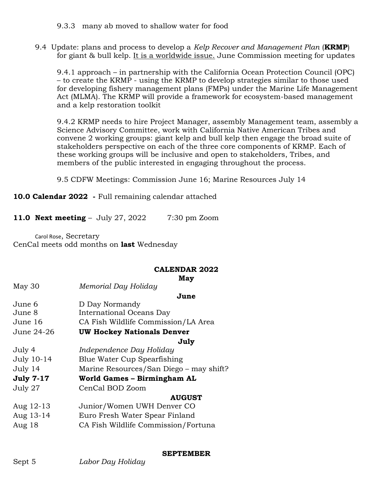9.3.3 many ab moved to shallow water for food

9.4 Update: plans and process to develop a Kelp Recover and Management Plan (**KRMP**) for giant & bull kelp. It is a worldwide issue. June Commission meeting for updates

 9.4.1 approach – in partnership with the California Ocean Protection Council (OPC) – to create the KRMP - using the KRMP to develop strategies similar to those used for developing fishery management plans (FMPs) under the Marine Life Management Act (MLMA). The KRMP will provide a framework for ecosystem-based management and a kelp restoration toolkit

 9.4.2 KRMP needs to hire Project Manager, assembly Management team, assembly a Science Advisory Committee, work with California Native American Tribes and convene 2 working groups: giant kelp and bull kelp then engage the broad suite of stakeholders perspective on each of the three core components of KRMP. Each of these working groups will be inclusive and open to stakeholders, Tribes, and members of the public interested in engaging throughout the process.

9.5 CDFW Meetings: Commission June 16; Marine Resources July 14

10.0 Calendar 2022 - Full remaining calendar attached

11.0 Next meeting - July 27, 2022 7:30 pm Zoom

Carol Rose, Secretary CenCal meets odd months on last Wednesday

## CALENDAR 2022

|                  | May                                     |  |
|------------------|-----------------------------------------|--|
| May 30           | Memorial Day Holiday                    |  |
|                  | June                                    |  |
| June 6           | D Day Normandy                          |  |
| June 8           | International Oceans Day                |  |
| June 16          | CA Fish Wildlife Commission/LA Area     |  |
| June 24-26       | <b>UW Hockey Nationals Denver</b>       |  |
|                  | July                                    |  |
| July 4           | Independence Day Holiday                |  |
| July 10-14       | Blue Water Cup Spearfishing             |  |
| July 14          | Marine Resources/San Diego – may shift? |  |
| <b>July 7-17</b> | World Games - Birmingham AL             |  |
| July 27          | CenCal BOD Zoom                         |  |
|                  | <b>AUGUST</b>                           |  |
| Aug 12-13        | Junior/Women UWH Denver CO              |  |
| Aug 13-14        | Euro Fresh Water Spear Finland          |  |
| Aug 18           | CA Fish Wildlife Commission/Fortuna     |  |
|                  |                                         |  |

## SEPTEMBER